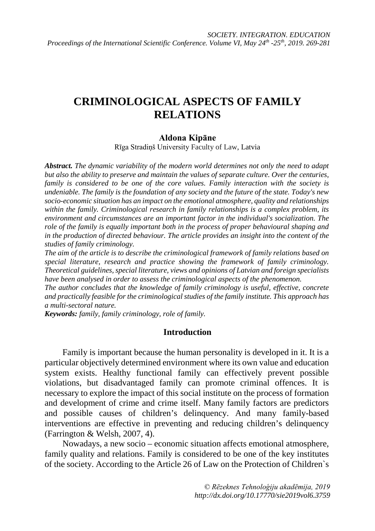# **CRIMINOLOGICAL ASPECTS OF FAMILY RELATIONS**

### **Aldona Kipāne**

Rīga Stradiņš University Faculty of Law, Latvia

*Abstract. The dynamic variability of the modern world determines not only the need to adapt but also the ability to preserve and maintain the values of separate culture. Over the centuries, family is considered to be one of the core values. Family interaction with the society is undeniable. The family is the foundation of any society and the future of the state. Today's new socio-economic situation has an impact on the emotional atmosphere, quality and relationships within the family. Criminological research in family relationships is a complex problem, its environment and circumstances are an important factor in the individual's socialization. The role of the family is equally important both in the process of proper behavioural shaping and in the production of directed behaviour. The article provides an insight into the content of the studies of family criminology.*

*The aim of the article is to describe the criminological framework of family relations based on special literature, research and practice showing the framework of family criminology. Theoretical guidelines, special literature, views and opinions of Latvian and foreign specialists have been analysed in order to assess the criminological aspects of the phenomenon.*

*The author concludes that the knowledge of family criminology is useful, effective, concrete and practically feasible for the criminological studies of the family institute. This approach has a multi-sectoral nature.*

*Keywords: family, family criminology, role of family.* 

#### **Introduction**

Family is important because the human personality is developed in it. It is a particular objectively determined environment where its own value and education system exists. Healthy functional family can effectively prevent possible violations, but disadvantaged family can promote criminal offences. It is necessary to explore the impact of this social institute on the process of formation and development of crime and crime itself. Many family factors are predictors and possible causes of children's delinquency. And many family-based interventions are effective in preventing and reducing children's delinquency (Farrington & Welsh, 2007, 4).

Nowadays, a new socio – economic situation affects emotional atmosphere, family quality and relations. Family is considered to be one of the key institutes of the society. According to the Article 26 of Law on the Protection of Children`s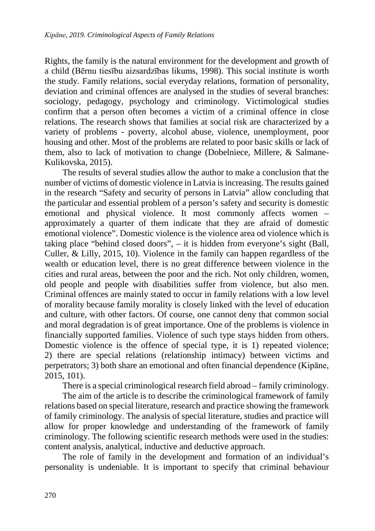Rights, the family is the natural environment for the development and growth of a child (Bērnu tiesību aizsardzības likums, 1998). This social institute is worth the study. Family relations, social everyday relations, formation of personality, deviation and criminal offences are analysed in the studies of several branches: sociology, pedagogy, psychology and criminology. Victimological studies confirm that a person often becomes a victim of a criminal offence in close relations. The research shows that families at social risk are characterized by a variety of problems - poverty, alcohol abuse, violence, unemployment, poor housing and other. Most of the problems are related to poor basic skills or lack of them, also to lack of motivation to change (Dobelniece, Millere, & Salmane-Kulikovska, 2015).

The results of several studies allow the author to make a conclusion that the number of victims of domestic violence in Latvia is increasing. The results gained in the research "Safety and security of persons in Latvia" allow concluding that the particular and essential problem of a person's safety and security is domestic emotional and physical violence. It most commonly affects women – approximately a quarter of them indicate that they are afraid of domestic emotional violence". Domestic violence is the violence area od violence which is taking place "behind closed doors", – it is hidden from everyone's sight (Ball, Culler, & Lilly, 2015, 10). Violence in the family can happen regardless of the wealth or education level, there is no great difference between violence in the cities and rural areas, between the poor and the rich. Not only children, women, old people and people with disabilities suffer from violence, but also men. Criminal offences are mainly stated to occur in family relations with a low level of morality because family morality is closely linked with the level of education and culture, with other factors. Of course, one cannot deny that common social and moral degradation is of great importance. One of the problems is violence in financially supported families. Violence of such type stays hidden from others. Domestic violence is the offence of special type, it is 1) repeated violence; 2) there are special relations (relationship intimacy) between victims and perpetrators; 3) both share an emotional and often financial dependence (Kipāne, 2015, 101).

There is a special criminological research field abroad – family criminology.

The aim of the article is to describe the criminological framework of family relations based on special literature, research and practice showing the framework of family criminology. The analysis of special literature, studies and practice will allow for proper knowledge and understanding of the framework of family criminology. The following scientific research methods were used in the studies: content analysis, analytical, inductive and deductive approach.

The role of family in the development and formation of an individual's personality is undeniable. It is important to specify that criminal behaviour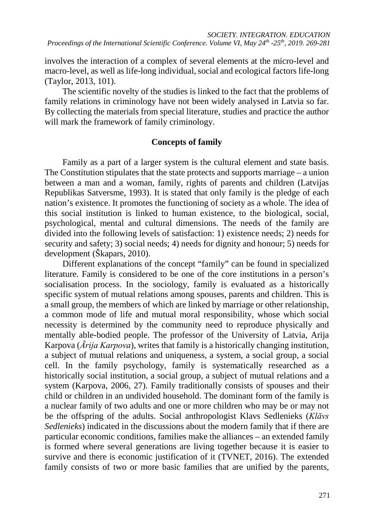involves the interaction of a complex of several elements at the micro-level and macro-level, as well as life-long individual, social and ecological factors life-long (Taylor, 2013, 101).

The scientific novelty of the studies is linked to the fact that the problems of family relations in criminology have not been widely analysed in Latvia so far. By collecting the materials from special literature, studies and practice the author will mark the framework of family criminology.

### **Concepts of family**

Family as a part of a larger system is the cultural element and state basis. The Constitution stipulates that the state protects and supports marriage – a union between a man and a woman, family, rights of parents and children (Latvijas Republikas Satversme, 1993). It is stated that only family is the pledge of each nation's existence. It promotes the functioning of society as a whole. The idea of this social institution is linked to human existence, to the biological, social, psychological, mental and cultural dimensions. The needs of the family are divided into the following levels of satisfaction: 1) existence needs; 2) needs for security and safety; 3) social needs; 4) needs for dignity and honour; 5) needs for development (Škapars, 2010).

Different explanations of the concept "family" can be found in specialized literature. Family is considered to be one of the core institutions in a person's socialisation process. In the sociology, family is evaluated as a historically specific system of mutual relations among spouses, parents and children. This is a small group, the members of which are linked by marriage or other relationship, a common mode of life and mutual moral responsibility, whose which social necessity is determined by the community need to reproduce physically and mentally able-bodied people. The professor of the University of Latvia, Arija Karpova (*Ārija Karpova*), writes that family is a historically changing institution, a subject of mutual relations and uniqueness, a system, a social group, a social cell. In the family psychology, family is systematically researched as a historically social institution, a social group, a subject of mutual relations and a system (Karpova, 2006, 27). Family traditionally consists of spouses and their child or children in an undivided household. The dominant form of the family is a nuclear family of two adults and one or more children who may be or may not be the offspring of the adults. Social anthropologist Klavs Sedlenieks (*Klāvs Sedlenieks*) indicated in the discussions about the modern family that if there are particular economic conditions, families make the alliances – an extended family is formed where several generations are living together because it is easier to survive and there is economic justification of it (TVNET, 2016). The extended family consists of two or more basic families that are unified by the parents,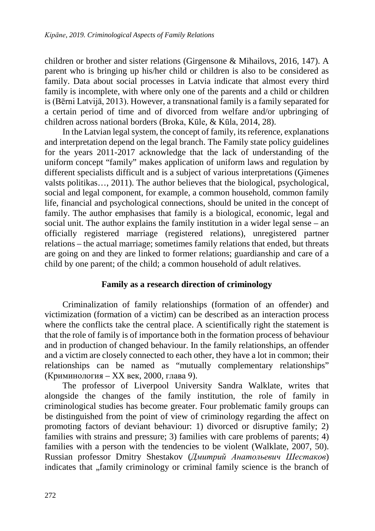children or brother and sister relations (Girgensone & Mihailovs, 2016, 147). A parent who is bringing up his/her child or children is also to be considered as family. Data about social processes in Latvia indicate that almost every third family is incomplete, with where only one of the parents and a child or children is (Bērni Latvijā, 2013). However, a transnational family is a family separated for a certain period of time and of divorced from welfare and/or upbringing of children across national borders (Broka, Kūle, & Kūla, 2014, 28).

In the Latvian legal system, the concept of family, its reference, explanations and interpretation depend on the legal branch. The Family state policy guidelines for the years 2011-2017 acknowledge that the lack of understanding of the uniform concept "family" makes application of uniform laws and regulation by different specialists difficult and is a subject of various interpretations (Ģimenes valsts politikas…, 2011). The author believes that the biological, psychological, social and legal component, for example, a common household, common family life, financial and psychological connections, should be united in the concept of family. The author emphasises that family is a biological, economic, legal and social unit. The author explains the family institution in a wider legal sense – an officially registered marriage (registered relations), unregistered partner relations – the actual marriage; sometimes family relations that ended, but threats are going on and they are linked to former relations; guardianship and care of a child by one parent; of the child; a common household of adult relatives.

#### **Family as a research direction of criminology**

Criminalization of family relationships (formation of an offender) and victimization (formation of a victim) can be described as an interaction process where the conflicts take the central place. A scientifically right the statement is that the role of family is of importance both in the formation process of behaviour and in production of changed behaviour. In the family relationships, an offender and a victim are closely connected to each other, they have a lot in common; their relationships can be named as "mutually complementary relationships" (Криминология – XX век, 2000, глава 9).

The professor of Liverpool University Sandra Walklate, writes that alongside the changes of the family institution, the role of family in criminological studies has become greater. Four problematic family groups can be distinguished from the point of view of criminology regarding the affect on promoting factors of deviant behaviour: 1) divorced or disruptive family; 2) families with strains and pressure; 3) families with care problems of parents; 4) families with a person with the tendencies to be violent (Walklate, 2007, 50). Russian professor Dmitry Shestakov (*Дмитрий Анатольевич Шестаков*) indicates that , family criminology or criminal family science is the branch of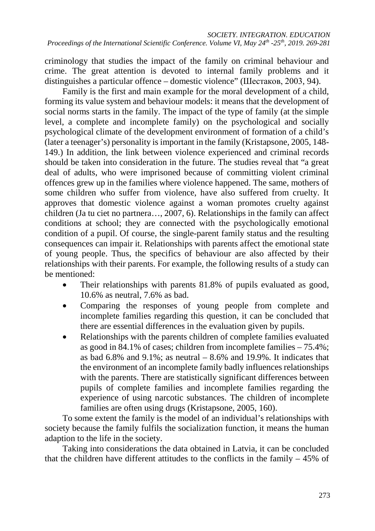criminology that studies the impact of the family on criminal behaviour and crime. The great attention is devoted to internal family problems and it distinguishes a particular offence – domestic violence" (Шестаков, 2003, 94).

Family is the first and main example for the moral development of a child, forming its value system and behaviour models: it means that the development of social norms starts in the family. The impact of the type of family (at the simple level, a complete and incomplete family) on the psychological and socially psychological climate of the development environment of formation of a child's (later a teenager's) personality is important in the family (Kristapsone, 2005, 148- 149.) In addition, the link between violence experienced and criminal records should be taken into consideration in the future. The studies reveal that "a great deal of adults, who were imprisoned because of committing violent criminal offences grew up in the families where violence happened. The same, mothers of some children who suffer from violence, have also suffered from cruelty. It approves that domestic violence against a woman promotes cruelty against children (Ja tu ciet no partnera…, 2007, 6). Relationships in the family can affect conditions at school; they are connected with the psychologically emotional condition of a pupil. Of course, the single-parent family status and the resulting consequences can impair it. Relationships with parents affect the emotional state of young people. Thus, the specifics of behaviour are also affected by their relationships with their parents. For example, the following results of a study can be mentioned:

- Their relationships with parents 81.8% of pupils evaluated as good, 10.6% as neutral, 7.6% as bad.
- Comparing the responses of young people from complete and incomplete families regarding this question, it can be concluded that there are essential differences in the evaluation given by pupils.
- Relationships with the parents children of complete families evaluated as good in 84.1% of cases; children from incomplete families – 75.4%; as bad  $6.8\%$  and  $9.1\%$ ; as neutral  $-8.6\%$  and 19.9%. It indicates that the environment of an incomplete family badly influences relationships with the parents. There are statistically significant differences between pupils of complete families and incomplete families regarding the experience of using narcotic substances. The children of incomplete families are often using drugs (Kristapsone, 2005, 160).

To some extent the family is the model of an individual's relationships with society because the family fulfils the socialization function, it means the human adaption to the life in the society.

Taking into considerations the data obtained in Latvia, it can be concluded that the children have different attitudes to the conflicts in the family – 45% of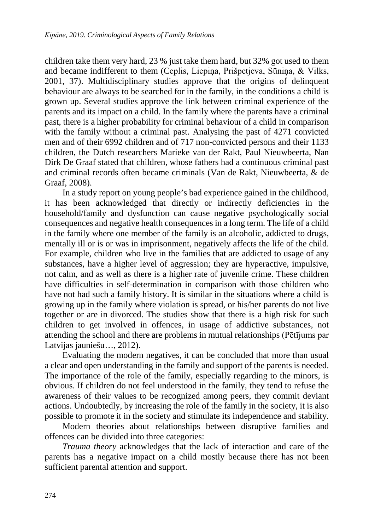children take them very hard, 23 % just take them hard, but 32% got used to them and became indifferent to them (Ceplis, Liepiņa, Prišpetjeva, Sūniņa, & Vilks, 2001, 37). Multidisciplinary studies approve that the origins of delinquent behaviour are always to be searched for in the family, in the conditions a child is grown up. Several studies approve the link between criminal experience of the parents and its impact on a child. In the family where the parents have a criminal past, there is a higher probability for criminal behaviour of a child in comparison with the family without a criminal past. Analysing the past of 4271 convicted men and of their 6992 children and of 717 non-convicted persons and their 1133 children, the Dutch researchers Marieke van der Rakt, Paul Nieuwbeerta, Nan Dirk De Graaf stated that children, whose fathers had a continuous criminal past and criminal records often became criminals (Van de Rakt, Nieuwbeerta, & de Graaf, 2008).

In a study report on young people's bad experience gained in the childhood, it has been acknowledged that directly or indirectly deficiencies in the household/family and dysfunction can cause negative psychologically social consequences and negative health consequences in a long term. The life of a child in the family where one member of the family is an alcoholic, addicted to drugs, mentally ill or is or was in imprisonment, negatively affects the life of the child. For example, children who live in the families that are addicted to usage of any substances, have a higher level of aggression; they are hyperactive, impulsive, not calm, and as well as there is a higher rate of juvenile crime. These children have difficulties in self-determination in comparison with those children who have not had such a family history. It is similar in the situations where a child is growing up in the family where violation is spread, or his/her parents do not live together or are in divorced. The studies show that there is a high risk for such children to get involved in offences, in usage of addictive substances, not attending the school and there are problems in mutual relationships (Pētījums par Latvijas jauniešu…, 2012).

Evaluating the modern negatives, it can be concluded that more than usual a clear and open understanding in the family and support of the parents is needed. The importance of the role of the family, especially regarding to the minors, is obvious. If children do not feel understood in the family, they tend to refuse the awareness of their values to be recognized among peers, they commit deviant actions. Undoubtedly, by increasing the role of the family in the society, it is also possible to promote it in the society and stimulate its independence and stability.

Modern theories about relationships between disruptive families and offences can be divided into three categories:

*Trauma theory* acknowledges that the lack of interaction and care of the parents has a negative impact on a child mostly because there has not been sufficient parental attention and support.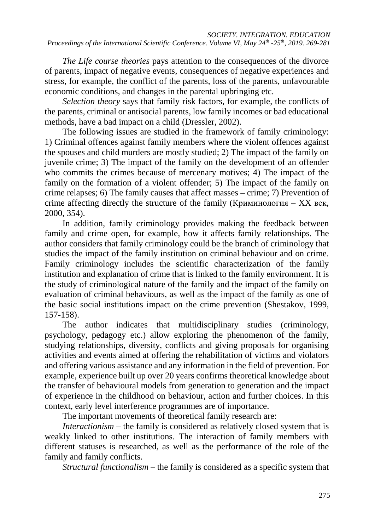*The Life course theories* pays attention to the consequences of the divorce of parents, impact of negative events, consequences of negative experiences and stress, for example, the conflict of the parents, loss of the parents, unfavourable economic conditions, and changes in the parental upbringing etc.

*Selection theory* says that family risk factors, for example, the conflicts of the parents, criminal or antisocial parents, low family incomes or bad educational methods, have a bad impact on a child (Dressler, 2002).

The following issues are studied in the framework of family criminology: 1) Criminal offences against family members where the violent offences against the spouses and child murders are mostly studied; 2) The impact of the family on juvenile crime; 3) The impact of the family on the development of an offender who commits the crimes because of mercenary motives; 4) The impact of the family on the formation of a violent offender; 5) The impact of the family on crime relapses; 6) The family causes that affect masses – crime; 7) Prevention of crime affecting directly the structure of the family (Криминология – XX век, 2000, 354).

In addition, family criminology provides making the feedback between family and crime open, for example, how it affects family relationships. The author considers that family criminology could be the branch of criminology that studies the impact of the family institution on criminal behaviour and on crime. Family criminology includes the scientific characterization of the family institution and explanation of crime that is linked to the family environment. It is the study of criminological nature of the family and the impact of the family on evaluation of criminal behaviours, as well as the impact of the family as one of the basic social institutions impact on the crime prevention (Shestakov, 1999, 157-158).

The author indicates that multidisciplinary studies (criminology, psychology, pedagogy etc.) allow exploring the phenomenon of the family, studying relationships, diversity, conflicts and giving proposals for organising activities and events aimed at offering the rehabilitation of victims and violators and offering various assistance and any information in the field of prevention. For example, experience built up over 20 years confirms theoretical knowledge about the transfer of behavioural models from generation to generation and the impact of experience in the childhood on behaviour, action and further choices. In this context, early level interference programmes are of importance.

The important movements of theoretical family research are:

*Interactionism –* the family is considered as relatively closed system that is weakly linked to other institutions. The interaction of family members with different statuses is researched, as well as the performance of the role of the family and family conflicts.

*Structural functionalism* – the family is considered as a specific system that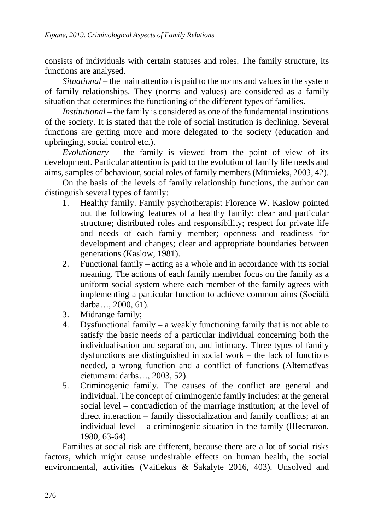consists of individuals with certain statuses and roles. The family structure, its functions are analysed.

*Situational –* the main attention is paid to the norms and values in the system of family relationships. They (norms and values) are considered as a family situation that determines the functioning of the different types of families.

*Institutional –* the family is considered as one of the fundamental institutions of the society. It is stated that the role of social institution is declining. Several functions are getting more and more delegated to the society (education and upbringing, social control etc.).

*Evolutionary –* the family is viewed from the point of view of its development. Particular attention is paid to the evolution of family life needs and aims, samples of behaviour, social roles of family members (Mūrnieks, 2003, 42).

On the basis of the levels of family relationship functions, the author can distinguish several types of family:

- 1. Healthy family. Family psychotherapist Florence W. Kaslow pointed out the following features of a healthy family: clear and particular structure; distributed roles and responsibility; respect for private life and needs of each family member; openness and readiness for development and changes; clear and appropriate boundaries between generations (Kaslow, 1981).
- 2. Functional family acting as a whole and in accordance with its social meaning. The actions of each family member focus on the family as a uniform social system where each member of the family agrees with implementing a particular function to achieve common aims (Sociālā darba…, 2000, 61).
- 3. Midrange family;
- 4. Dysfunctional family a weakly functioning family that is not able to satisfy the basic needs of a particular individual concerning both the individualisation and separation, and intimacy. Three types of family dysfunctions are distinguished in social work – the lack of functions needed, a wrong function and a conflict of functions (Alternatīvas cietumam: darbs…, 2003, 52).
- 5. Criminogenic family. The causes of the conflict are general and individual. The concept of criminogenic family includes: at the general social level – contradiction of the marriage institution; at the level of direct interaction – family dissocialization and family conflicts; at an individual level – a criminogenic situation in the family (Шестаков, 1980, 63-64).

Families at social risk are different, because there are a lot of social risks factors, which might cause undesirable effects on human health, the social environmental, activities (Vaitiekus & Šakalyte 2016, 403). Unsolved and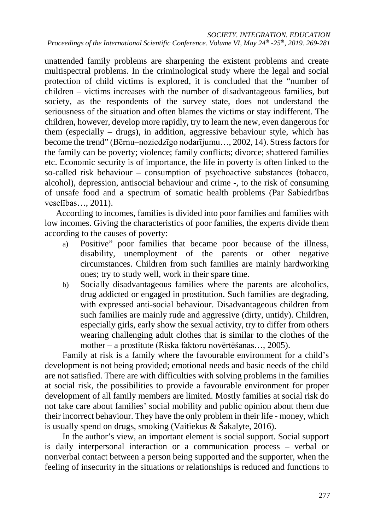unattended family problems are sharpening the existent problems and create multispectral problems. In the criminological study where the legal and social protection of child victims is explored, it is concluded that the "number of children – victims increases with the number of disadvantageous families, but society, as the respondents of the survey state, does not understand the seriousness of the situation and often blames the victims or stay indifferent. The children, however, develop more rapidly, try to learn the new, even dangerous for them (especially – drugs), in addition, aggressive behaviour style, which has become the trend" (Bērnu–noziedzīgo nodarījumu…, 2002, 14). Stress factors for the family can be poverty; violence; family conflicts; divorce; shattered families etc. Economic security is of importance, the life in poverty is often linked to the so-called risk behaviour – consumption of psychoactive substances (tobacco, alcohol), depression, antisocial behaviour and crime -, to the risk of consuming of unsafe food and a spectrum of somatic health problems (Par Sabiedrības veselības…, 2011).

According to incomes, families is divided into poor families and families with low incomes. Giving the characteristics of poor families, the experts divide them according to the causes of poverty:

- a) Positive" poor families that became poor because of the illness, disability, unemployment of the parents or other negative circumstances. Children from such families are mainly hardworking ones; try to study well, work in their spare time.
- b) Socially disadvantageous families where the parents are alcoholics, drug addicted or engaged in prostitution. Such families are degrading, with expressed anti-social behaviour. Disadvantageous children from such families are mainly rude and aggressive (dirty, untidy). Children, especially girls, early show the sexual activity, try to differ from others wearing challenging adult clothes that is similar to the clothes of the mother – a prostitute (Riska faktoru novērtēšanas…, 2005).

Family at risk is a family where the favourable environment for a child's development is not being provided; emotional needs and basic needs of the child are not satisfied. There are with difficulties with solving problems in the families at social risk, the possibilities to provide a favourable environment for proper development of all family members are limited. Mostly families at social risk do not take care about families' social mobility and public opinion about them due their incorrect behaviour. They have the only problem in their life - money, which is usually spend on drugs, smoking (Vaitiekus & Šakalyte, 2016).

In the author's view, an important element is social support. Social support is daily interpersonal interaction or a communication process – verbal or nonverbal contact between a person being supported and the supporter, when the feeling of insecurity in the situations or relationships is reduced and functions to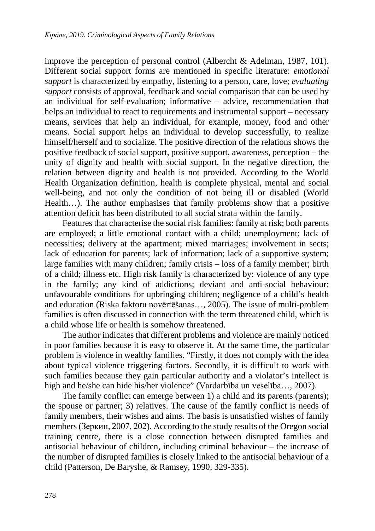improve the perception of personal control (Albercht & Adelman, 1987, 101). Different social support forms are mentioned in specific literature: *emotional support* is characterized by empathy, listening to a person, care, love; *evaluating support* consists of approval, feedback and social comparison that can be used by an individual for self-evaluation; informative – advice, recommendation that helps an individual to react to requirements and instrumental support – necessary means, services that help an individual, for example, money, food and other means. Social support helps an individual to develop successfully, to realize himself/herself and to socialize. The positive direction of the relations shows the positive feedback of social support, positive support, awareness, perception – the unity of dignity and health with social support. In the negative direction, the relation between dignity and health is not provided. According to the World Health Organization definition, health is complete physical, mental and social well-being, and not only the condition of not being ill or disabled (World Health…). The author emphasises that family problems show that a positive attention deficit has been distributed to all social strata within the family.

Features that characterise the social risk families: family at risk; both parents are employed; a little emotional contact with a child; unemployment; lack of necessities; delivery at the apartment; mixed marriages; involvement in sects; lack of education for parents; lack of information; lack of a supportive system; large families with many children; family crisis – loss of a family member; birth of a child; illness etc. High risk family is characterized by: violence of any type in the family; any kind of addictions; deviant and anti-social behaviour; unfavourable conditions for upbringing children; negligence of a child's health and education (Riska faktoru novērtēšanas…, 2005). The issue of multi-problem families is often discussed in connection with the term threatened child, which is a child whose life or health is somehow threatened.

The author indicates that different problems and violence are mainly noticed in poor families because it is easy to observe it. At the same time, the particular problem is violence in wealthy families. "Firstly, it does not comply with the idea about typical violence triggering factors. Secondly, it is difficult to work with such families because they gain particular authority and a violator's intellect is high and he/she can hide his/her violence" (Vardarbība un veselība…, 2007).

The family conflict can emerge between 1) a child and its parents (parents); the spouse or partner; 3) relatives. The cause of the family conflict is needs of family members, their wishes and aims. The basis is unsatisfied wishes of family members (Зеркин, 2007, 202). According to the study results of the Oregon social training centre, there is a close connection between disrupted families and antisocial behaviour of children, including criminal behaviour – the increase of the number of disrupted families is closely linked to the antisocial behaviour of a child (Patterson, De Baryshe, & Ramsey, 1990, 329-335).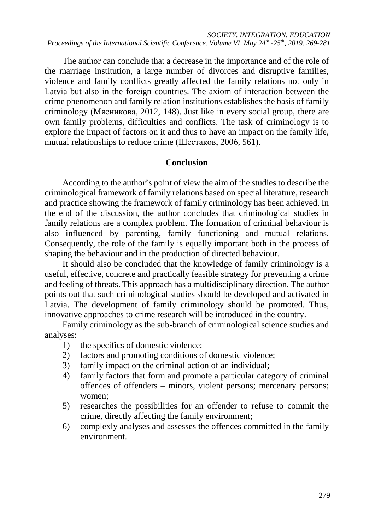The author can conclude that a decrease in the importance and of the role of the marriage institution, a large number of divorces and disruptive families, violence and family conflicts greatly affected the family relations not only in Latvia but also in the foreign countries. The axiom of interaction between the crime phenomenon and family relation institutions establishes the basis of family criminology (Мясникова, 2012, 148). Just like in every social group, there are own family problems, difficulties and conflicts. The task of criminology is to explore the impact of factors on it and thus to have an impact on the family life, mutual relationships to reduce crime (Шестаков, 2006, 561).

## **Conclusion**

According to the author's point of view the aim of the studies to describe the criminological framework of family relations based on special literature, research and practice showing the framework of family criminology has been achieved. In the end of the discussion, the author concludes that criminological studies in family relations are a complex problem. The formation of criminal behaviour is also influenced by parenting, family functioning and mutual relations. Consequently, the role of the family is equally important both in the process of shaping the behaviour and in the production of directed behaviour.

It should also be concluded that the knowledge of family criminology is a useful, effective, concrete and practically feasible strategy for preventing a crime and feeling of threats. This approach has a multidisciplinary direction. The author points out that such criminological studies should be developed and activated in Latvia. The development of family criminology should be promoted. Thus, innovative approaches to crime research will be introduced in the country.

Family criminology as the sub-branch of criminological science studies and analyses:

- 1) the specifics of domestic violence;
- 2) factors and promoting conditions of domestic violence;
- 3) family impact on the criminal action of an individual;
- 4) family factors that form and promote a particular category of criminal offences of offenders – minors, violent persons; mercenary persons; women;
- 5) researches the possibilities for an offender to refuse to commit the crime, directly affecting the family environment;
- 6) complexly analyses and assesses the offences committed in the family environment.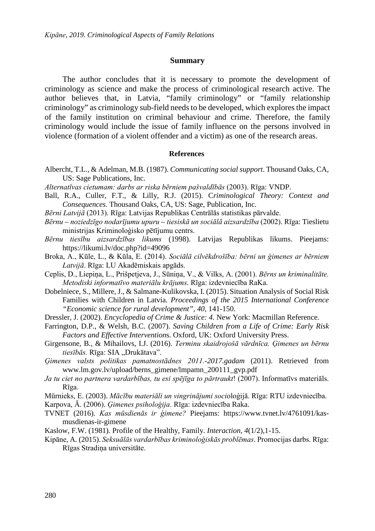#### **Summary**

The author concludes that it is necessary to promote the development of criminology as science and make the process of criminological research active. The author believes that, in Latvia, "family criminology" or "family relationship criminology" as criminology sub-field needs to be developed, which explores the impact of the family institution on criminal behaviour and crime. Therefore, the family criminology would include the issue of family influence on the persons involved in violence (formation of a violent offender and a victim) as one of the research areas.

#### **References**

- Albercht, T.L., & Adelman, M.B. (1987). *Communicating social support*. Thousand Oaks, CA, US: Sage Publications, Inc.
- *Alternatīvas cietumam: darbs ar riska bērniem pašvaldībās* (2003). Rīga: VNDP.
- Ball, R.A., Culler, F.T., & Lilly, R.J. (2015). C*riminological Theory: Context and Consequences*. Thousand Oaks, CA, US: Sage, Publication, Inc.
- *Bērni Latvijā* (2013). Rīga: Latvijas Republikas Centrālās statistikas pārvalde.
- *Bērnu – noziedzīgo nodarījumu upuru – tiesiskā un sociālā aizsardzība* (2002). Rīga: Tieslietu ministrijas Kriminoloģisko pētījumu centrs.
- *Bērnu tiesību aizsardzības likums* (1998). Latvijas Republikas likums. Pieejams: <https://likumi.lv/doc.php?id=49096>
- Broka, A., Kūle, L., & Kūla, E. (2014). *Sociālā cilvēkdrošība: bērni un ģimenes ar bērniem Latvijā*. Rīga: LU Akadēmiskais apgāds.
- Ceplis, D., Liepiņa, L., Prišpetjeva, J., Sūniņa, V., & Vilks, A. (2001). *Bērns un kriminalitāte. Metodiski informatīvo materiālu krājums.* Rīga: izdevniecība RaKa.
- Dobelniece, S., Millere, J., & Salmane-Kulikovska, I. (2015). Situation Analysis of Social Risk Families with Children in Latvia. *Proceedings of the 2015 International Conference "Economic science for rural development", 40*, 141-150.
- Dressler, J. (2002). *Encyclopedia of Crime & Justice: 4.* New York: Macmillan Reference.
- Farrington, D.P., & Welsh, B.C. (2007). *Saving Children from a Life of Crime: Early Risk Factors and Effective Intervention*s. Oxford, UK: Oxford University Press.
- Girgensone, B., & Mihailovs, I.J. (2016). *Terminu skaidrojošā vārdnīca. Ģimenes un bērnu*  tiesībās. Rīga: SIA "Drukātava".
- *Ģimenes valsts politikas pamatnostādnes 2011.-2017.gadam* (2011). Retrieved from [www.lm.gov.lv/upload/berns\\_gimene/lmpamn\\_200111\\_gvp.pdf](http://www.lm.gov.lv/upload/berns_gimene/lmpamn_200111_gvp.pdf)
- *Ja tu ciet no partnera vardarbības, tu esi spējīga to pārtraukt*! (2007). Informatīvs materiāls. Rīga.
- Mūrnieks, E. (2003). *Mācību materiāli un vingrinājumi soci*oloģijā. Rīga: RTU izdevniecība.
- Karpova, Ā. (2006). *Ģimenes psiholoģija*. Rīga: izdevniecība Raka.
- TVNET (2016). *Kas mūsdienās ir ģimene?* Pieejams: [https://www.tvnet.lv/4761091/kas](https://www.tvnet.lv/4761091/kas-musdienas-ir-gimene)[musdienas-ir-gimene](https://www.tvnet.lv/4761091/kas-musdienas-ir-gimene)
- Kaslow, F.W. (1981). Profile of the Healthy, Family. *Interaction, 4*(1/2),1-15.
- Kipāne, A. (2015). *Seksuālās vardarbības kriminoloģiskās problēmas*. Promocijas darbs. Rīga: Rīgas Stradiņa universitāte.